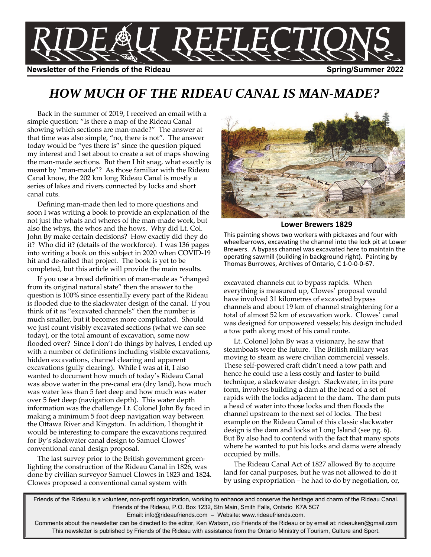

# *HOW MUCH OF THE RIDEAU CANAL IS MAN-MADE?*

Back in the summer of 2019, I received an email with a simple question: "Is there a map of the Rideau Canal showing which sections are man-made?" The answer at that time was also simple, "no, there is not". The answer today would be "yes there is" since the question piqued my interest and I set about to create a set of maps showing the man-made sections. But then I hit snag, what exactly is meant by "man-made"? As those familiar with the Rideau Canal know, the 202 km long Rideau Canal is mostly a series of lakes and rivers connected by locks and short canal cuts.

Defining man-made then led to more questions and soon I was writing a book to provide an explanation of the not just the whats and wheres of the man-made work, but also the whys, the whos and the hows. Why did Lt. Col. John By make certain decisions? How exactly did they do it? Who did it? (details of the workforce). I was 136 pages into writing a book on this subject in 2020 when COVID-19 hit and de-railed that project. The book is yet to be completed, but this article will provide the main results.

If you use a broad definition of man-made as "changed from its original natural state" then the answer to the question is 100% since essentially every part of the Rideau is flooded due to the slackwater design of the canal. If you think of it as "excavated channels" then the number is much smaller, but it becomes more complicated. Should we just count visibly excavated sections (what we can see today), or the total amount of excavation, some now flooded over? Since I don't do things by halves, I ended up with a number of definitions including visible excavations, hidden excavations, channel clearing and apparent excavations (gully clearing). While I was at it, I also wanted to document how much of today's Rideau Canal was above water in the pre-canal era (dry land), how much was water less than 5 feet deep and how much was water over 5 feet deep (navigation depth). This water depth information was the challenge Lt. Colonel John By faced in making a minimum 5 foot deep navigation way between the Ottawa River and Kingston. In addition, I thought it would be interesting to compare the excavations required for By's slackwater canal design to Samuel Clowes' conventional canal design proposal.

The last survey prior to the British government greenlighting the construction of the Rideau Canal in 1826, was done by civilian surveyor Samuel Clowes in 1823 and 1824. Clowes proposed a conventional canal system with



### **Lower Brewers 1829**

This painting shows two workers with pickaxes and four with wheelbarrows, excavating the channel into the lock pit at Lower Brewers. A bypass channel was excavated here to maintain the operating sawmill (building in background right). Painting by Thomas Burrowes, Archives of Ontario, C 1-0-0-0-67.

excavated channels cut to bypass rapids. When everything is measured up, Clowes' proposal would have involved 31 kilometres of excavated bypass channels and about 19 km of channel straightening for a total of almost 52 km of excavation work. Clowes' canal was designed for unpowered vessels; his design included a tow path along most of his canal route.

Lt. Colonel John By was a visionary, he saw that steamboats were the future. The British military was moving to steam as were civilian commercial vessels. These self-powered craft didn't need a tow path and hence he could use a less costly and faster to build technique, a slackwater design. Slackwater, in its pure form, involves building a dam at the head of a set of rapids with the locks adjacent to the dam. The dam puts a head of water into those locks and then floods the channel upstream to the next set of locks. The best example on the Rideau Canal of this classic slackwater design is the dam and locks at Long Island (see pg. 6). But By also had to contend with the fact that many spots where he wanted to put his locks and dams were already occupied by mills.

The Rideau Canal Act of 1827 allowed By to acquire land for canal purposes, but he was not allowed to do it by using expropriation – he had to do by negotiation, or,

Friends of the Rideau is a volunteer, non-profit organization, working to enhance and conserve the heritage and charm of the Rideau Canal. Friends of the Rideau, P.O. Box 1232, Stn Main, Smith Falls, Ontario K7A 5C7 Email: info@rideaufriends.com – Website: www.rideaufriends.com.

Comments about the newsletter can be directed to the editor, Ken Watson, c/o Friends of the Rideau or by email at: rideauken@gmail.com This newsletter is published by Friends of the Rideau with assistance from the Ontario Ministry of Tourism, Culture and Sport.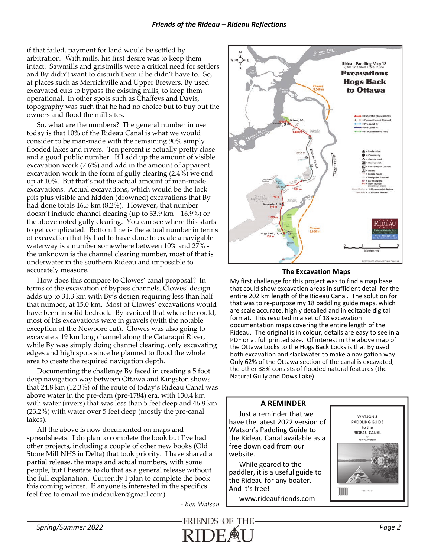if that failed, payment for land would be settled by arbitration. With mills, his first desire was to keep them intact. Sawmills and gristmills were a critical need for settlers and By didn't want to disturb them if he didn't have to. So, at places such as Merrickville and Upper Brewers, By used excavated cuts to bypass the existing mills, to keep them operational. In other spots such as Chaffeys and Davis, topography was such that he had no choice but to buy out the owners and flood the mill sites.

So, what are the numbers? The general number in use today is that 10% of the Rideau Canal is what we would consider to be man-made with the remaining 90% simply flooded lakes and rivers. Ten percent is actually pretty close and a good public number. If I add up the amount of visible excavation work (7.6%) and add in the amount of apparent excavation work in the form of gully clearing  $(2.4\%)$  we end up at 10%. But that's not the actual amount of man-made excavations. Actual excavations, which would be the lock pits plus visible and hidden (drowned) excavations that By had done totals 16.5 km (8.2%). However, that number doesn't include channel clearing (up to 33.9 km – 16.9%) or the above noted gully clearing. You can see where this starts to get complicated. Bottom line is the actual number in terms of excavation that By had to have done to create a navigable waterway is a number somewhere between 10% and 27% the unknown is the channel clearing number, most of that is underwater in the southern Rideau and impossible to accurately measure.

How does this compare to Clowes' canal proposal? In terms of the excavation of bypass channels, Clowes' design adds up to 31.3 km with By's design requiring less than half that number, at 15.0 km. Most of Clowes' excavations would have been in solid bedrock. By avoided that where he could, most of his excavations were in gravels (with the notable exception of the Newboro cut). Clowes was also going to excavate a 19 km long channel along the Cataraqui River, while By was simply doing channel clearing, only excavating edges and high spots since he planned to flood the whole area to create the required navigation depth.

Documenting the challenge By faced in creating a 5 foot deep navigation way between Ottawa and Kingston shows that 24.8 km (12.3%) of the route of today's Rideau Canal was above water in the pre-dam (pre-1784) era, with 130.4 km with water (rivers) that was less than 5 feet deep and 46.8 km (23.2%) with water over 5 feet deep (mostly the pre-canal lakes).

All the above is now documented on maps and spreadsheets. I do plan to complete the book but I've had other projects, including a couple of other new books (Old Stone Mill NHS in Delta) that took priority. I have shared a partial release, the maps and actual numbers, with some people, but I hesitate to do that as a general release without the full explanation. Currently I plan to complete the book this coming winter. If anyone is interested in the specifics feel free to email me (rideauken@gmail.com).

*- Ken Watson* 



### **The Excavation Maps**

My first challenge for this project was to find a map base that could show excavation areas in sufficient detail for the entire 202 km length of the Rideau Canal. The solution for that was to re-purpose my 18 paddling guide maps, which are scale accurate, highly detailed and in editable digital format. This resulted in a set of 18 excavation documentation maps covering the entire length of the Rideau. The original is in colour, details are easy to see in a PDF or at full printed size. Of interest in the above map of the Ottawa Locks to the Hogs Back Locks is that By used both excavation and slackwater to make a navigation way. Only 62% of the Ottawa section of the canal is excavated, the other 38% consists of flooded natural features (the Natural Gully and Dows Lake).

### **A REMINDER**

Just a reminder that we have the latest 2022 version of Watson's Paddling Guide to the Rideau Canal available as a free download from our website.

While geared to the paddler, it is a useful guide to the Rideau for any boater. And it's free!

www.rideaufriends.com

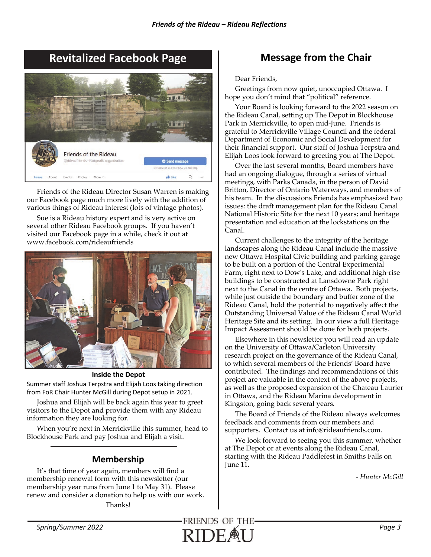# **Revitalized Facebook Page Message from the Chair**



Friends of the Rideau Director Susan Warren is making our Facebook page much more lively with the addition of various things of Rideau interest (lots of vintage photos).

Sue is a Rideau history expert and is very active on several other Rideau Facebook groups. If you haven't visited our Facebook page in a while, check it out at www.facebook.com/rideaufriends



## **Inside the Depot**

Summer staff Joshua Terpstra and Elijah Loos taking direction from FoR Chair Hunter McGill during Depot setup in 2021.

Joshua and Elijah will be back again this year to greet visitors to the Depot and provide them with any Rideau information they are looking for.

When you're next in Merrickville this summer, head to Blockhouse Park and pay Joshua and Elijah a visit.

## **Membership**

It's that time of year again, members will find a membership renewal form with this newsletter (our membership year runs from June 1 to May 31). Please renew and consider a donation to help us with our work.

Thanks!

Dear Friends,

Greetings from now quiet, unoccupied Ottawa. I hope you don't mind that "political" reference.

Your Board is looking forward to the 2022 season on the Rideau Canal, setting up The Depot in Blockhouse Park in Merrickville, to open mid-June. Friends is grateful to Merrickville Village Council and the federal Department of Economic and Social Development for their financial support. Our staff of Joshua Terpstra and Elijah Loos look forward to greeting you at The Depot.

Over the last several months, Board members have had an ongoing dialogue, through a series of virtual meetings, with Parks Canada, in the person of David Britton, Director of Ontario Waterways, and members of his team. In the discussions Friends has emphasized two issues: the draft management plan for the Rideau Canal National Historic Site for the next 10 years; and heritage presentation and education at the lockstations on the Canal.

Current challenges to the integrity of the heritage landscapes along the Rideau Canal include the massive new Ottawa Hospital Civic building and parking garage to be built on a portion of the Central Experimental Farm, right next to Dow's Lake, and additional high-rise buildings to be constructed at Lansdowne Park right next to the Canal in the centre of Ottawa. Both projects, while just outside the boundary and buffer zone of the Rideau Canal, hold the potential to negatively affect the Outstanding Universal Value of the Rideau Canal World Heritage Site and its setting. In our view a full Heritage Impact Assessment should be done for both projects.

Elsewhere in this newsletter you will read an update on the University of Ottawa/Carleton University research project on the governance of the Rideau Canal, to which several members of the Friends' Board have contributed. The findings and recommendations of this project are valuable in the context of the above projects, as well as the proposed expansion of the Chateau Laurier in Ottawa, and the Rideau Marina development in Kingston, going back several years.

The Board of Friends of the Rideau always welcomes feedback and comments from our members and supporters. Contact us at info@rideaufriends.com.

We look forward to seeing you this summer, whether at The Depot or at events along the Rideau Canal, starting with the Rideau Paddlefest in Smiths Falls on June 11.

*- Hunter McGill* 

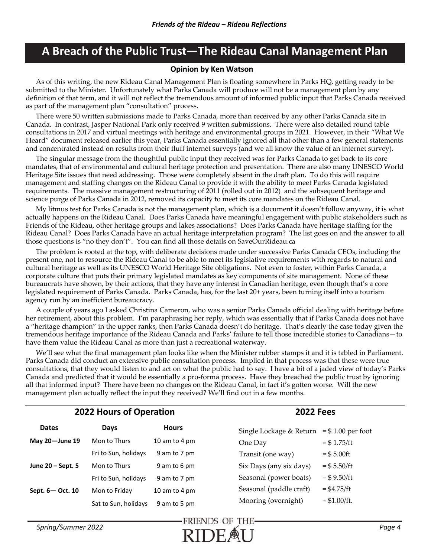# **A Breach of the Public Trust—The Rideau Canal Management Plan**

## **Opinion by Ken Watson**

As of this writing, the new Rideau Canal Management Plan is floating somewhere in Parks HQ, getting ready to be submitted to the Minister. Unfortunately what Parks Canada will produce will not be a management plan by any definition of that term, and it will not reflect the tremendous amount of informed public input that Parks Canada received as part of the management plan "consultation" process.

There were 50 written submissions made to Parks Canada, more than received by any other Parks Canada site in Canada. In contrast, Jasper National Park only received 9 written submissions. There were also detailed round table consultations in 2017 and virtual meetings with heritage and environmental groups in 2021. However, in their "What We Heard" document released earlier this year, Parks Canada essentially ignored all that other than a few general statements and concentrated instead on results from their fluff internet surveys (and we all know the value of an internet survey).

The singular message from the thoughtful public input they received was for Parks Canada to get back to its core mandates, that of environmental and cultural heritage protection and presentation. There are also many UNESCO World Heritage Site issues that need addressing. Those were completely absent in the draft plan. To do this will require management and staffing changes on the Rideau Canal to provide it with the ability to meet Parks Canada legislated requirements. The massive management restructuring of 2011 (rolled out in 2012) and the subsequent heritage and science purge of Parks Canada in 2012, removed its capacity to meet its core mandates on the Rideau Canal.

My litmus test for Parks Canada is not the management plan, which is a document it doesn't follow anyway, it is what actually happens on the Rideau Canal. Does Parks Canada have meaningful engagement with public stakeholders such as Friends of the Rideau, other heritage groups and lakes associations? Does Parks Canada have heritage staffing for the Rideau Canal? Does Parks Canada have an actual heritage interpretation program? The list goes on and the answer to all those questions is "no they don't". You can find all those details on SaveOurRideau.ca

The problem is rooted at the top, with deliberate decisions made under successive Parks Canada CEOs, including the present one, not to resource the Rideau Canal to be able to meet its legislative requirements with regards to natural and cultural heritage as well as its UNESCO World Heritage Site obligations. Not even to foster, within Parks Canada, a corporate culture that puts their primary legislated mandates as key components of site management. None of these bureaucrats have shown, by their actions, that they have any interest in Canadian heritage, even though that's a core legislated requirement of Parks Canada. Parks Canada, has, for the last 20+ years, been turning itself into a tourism agency run by an inefficient bureaucracy.

A couple of years ago I asked Christina Cameron, who was a senior Parks Canada official dealing with heritage before her retirement, about this problem. I'm paraphrasing her reply, which was essentially that if Parks Canada does not have a "heritage champion" in the upper ranks, then Parks Canada doesn't do heritage. That's clearly the case today given the tremendous heritage importance of the Rideau Canada and Parks' failure to tell those incredible stories to Canadians—to have them value the Rideau Canal as more than just a recreational waterway.

We'll see what the final management plan looks like when the Minister rubber stamps it and it is tabled in Parliament. Parks Canada did conduct an extensive public consultation process. Implied in that process was that these were true consultations, that they would listen to and act on what the public had to say. I have a bit of a jaded view of today's Parks Canada and predicted that it would be essentially a pro-forma process. Have they breached the public trust by ignoring all that informed input? There have been no changes on the Rideau Canal, in fact it's gotten worse. Will the new management plan actually reflect the input they received? We'll find out in a few months.

| 2022 Hours of Operation |                      |               | <b>2022 Fees</b>        |                      |
|-------------------------|----------------------|---------------|-------------------------|----------------------|
| <b>Dates</b>            | Days                 | <b>Hours</b>  | Single Lockage & Return | $= $1.00$ per foot   |
| May 20-June 19          | Mon to Thurs         | 10 am to 4 pm | One Day                 | $= $1.75/ft$         |
|                         | Fri to Sun, holidays | 9 am to 7 pm  | Transit (one way)       | $= $5.00 \text{ft}$  |
| June 20 - Sept. 5       | Mon to Thurs         | 9 am to 6 pm  | Six Days (any six days) | $= $5.50/ft$         |
|                         | Fri to Sun, holidays | 9 am to 7 pm  | Seasonal (power boats)  | $=$ \$9.50/ft        |
| Sept. 6 - Oct. 10       | Mon to Friday        | 10 am to 4 pm | Seasonal (paddle craft) | $= $4.75/\text{ft}$  |
|                         | Sat to Sun, holidays | 9 am to 5 pm  | Mooring (overnight)     | $= $1.00/\text{ft}.$ |

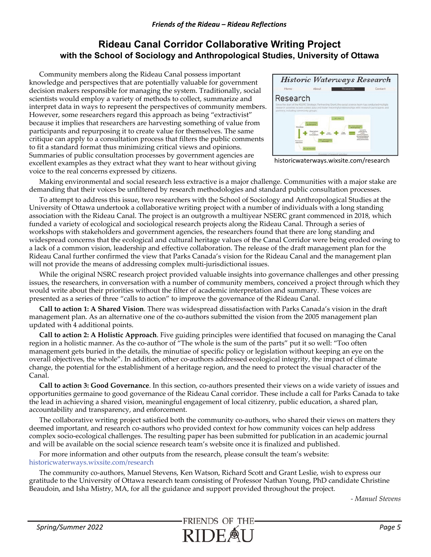## **Rideau Canal Corridor Collaborative Writing Project with the School of Sociology and Anthropological Studies, University of Ottawa**

Community members along the Rideau Canal possess important knowledge and perspectives that are potentially valuable for government decision makers responsible for managing the system. Traditionally, social scientists would employ a variety of methods to collect, summarize and interpret data in ways to represent the perspectives of community members. However, some researchers regard this approach as being "extractivist" because it implies that researchers are harvesting something of value from participants and repurposing it to create value for themselves. The same critique can apply to a consultation process that filters the public comments to fit a standard format thus minimizing critical views and opinions. Summaries of public consultation processes by government agencies are excellent examples as they extract what they want to hear without giving voice to the real concerns expressed by citizens.



historicwaterways.wixsite.com/research

Making environmental and social research less extractive is a major challenge. Communities with a major stake are demanding that their voices be unfiltered by research methodologies and standard public consultation processes.

To attempt to address this issue, two researchers with the School of Sociology and Anthropological Studies at the University of Ottawa undertook a collaborative writing project with a number of individuals with a long standing association with the Rideau Canal. The project is an outgrowth a multiyear NSERC grant commenced in 2018, which funded a variety of ecological and sociological research projects along the Rideau Canal. Through a series of workshops with stakeholders and government agencies, the researchers found that there are long standing and widespread concerns that the ecological and cultural heritage values of the Canal Corridor were being eroded owing to a lack of a common vision, leadership and effective collaboration. The release of the draft management plan for the Rideau Canal further confirmed the view that Parks Canada's vision for the Rideau Canal and the management plan will not provide the means of addressing complex multi-jurisdictional issues.

While the original NSRC research project provided valuable insights into governance challenges and other pressing issues, the researchers, in conversation with a number of community members, conceived a project through which they would write about their priorities without the filter of academic interpretation and summary. These voices are presented as a series of three "calls to action" to improve the governance of the Rideau Canal.

**Call to action 1: A Shared Vision**. There was widespread dissatisfaction with Parks Canada's vision in the draft management plan. As an alternative one of the co-authors submitted the vision from the 2005 management plan updated with 4 additional points.

**Call to action 2: A Holistic Approach**. Five guiding principles were identified that focused on managing the Canal region in a holistic manner. As the co-author of "The whole is the sum of the parts" put it so well: "Too often management gets buried in the details, the minutiae of specific policy or legislation without keeping an eye on the overall objectives, the whole". In addition, other co-authors addressed ecological integrity, the impact of climate change, the potential for the establishment of a heritage region, and the need to protect the visual character of the Canal.

**Call to action 3: Good Governance**. In this section, co-authors presented their views on a wide variety of issues and opportunities germaine to good governance of the Rideau Canal corridor. These include a call for Parks Canada to take the lead in achieving a shared vision, meaningful engagement of local citizenry, public education, a shared plan, accountability and transparency, and enforcement.

The collaborative writing project satisfied both the community co-authors, who shared their views on matters they deemed important, and research co-authors who provided context for how community voices can help address complex socio-ecological challenges. The resulting paper has been submitted for publication in an academic journal and will be available on the social science research team's website once it is finalized and published.

For more information and other outputs from the research, please consult the team's website: historicwaterways.wixsite.com/research

The community co-authors, Manuel Stevens, Ken Watson, Richard Scott and Grant Leslie, wish to express our gratitude to the University of Ottawa research team consisting of Professor Nathan Young, PhD candidate Christine Beaudoin, and Isha Mistry, MA, for all the guidance and support provided throughout the project.

*- Manuel Stevens*